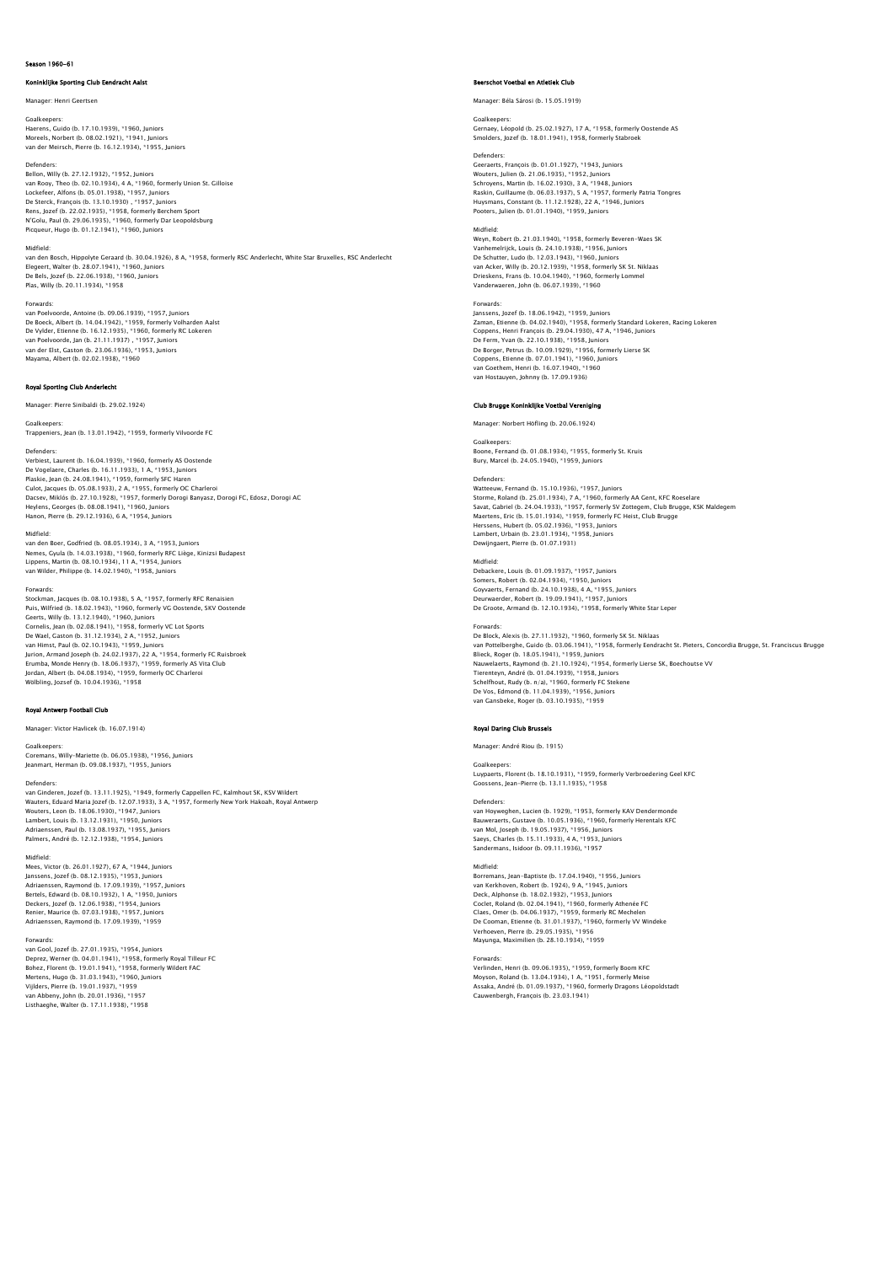## Season 1960-61

### Koninklijke Sporting Club Eendracht Aalst

# ager: Henri Geertser

Goalkeepers: Haerens, Guido (b. 17.10.1939), \*1960, Juniors Moreels, Norbert (b. 08.02.1921), \*1941, Juniors

van der Meirsch, Pierre (b. 16.12.1934), \*1955, Juniors

**Defenders** 

Bellon, Willy (b. 27.12.1932), \*1952, Juniors van Rooy, Theo (b. 02.10.1934), 4 A, \*1960, formerly Union St. Gilloise Lockefeer, Alfons (b. 05.01.1938), \*1957, Juniors<br>De Sterck, François (b. 13.10.1930) , \*1957, Juniors<br>Rens, Jozef (b. 22.02.1935), \*1958, formerly Dar Leopoldsburg<br>N'Golu, Paul (b. 29.06.1935), \*1960, formerly Dar Leopold Picqueur, Hugo (b. 01.12.1941), \*1960, Juniors

Midfield: van den Bosch, Hippolyte Geraard (b. 30.04.1926), 8 A, \*1958, formerly RSC Anderlecht, White Star Bruxelles, RSC Anderlecht Elegeert, Walter (b. 28.07.1941), \*1960, Juniors De Bels, Jozef (b. 22.06.1938), \*1960, Juniors Plas, Willy (b. 20.11.1934), \*1958

## Forwards:

van Poelvoorde, Antoine (b. 09.06.1939), \*1957, Juniors De Boeck, Albert (b. 14.04.1942), \*1959, formerly Volharden Aalst De Vylder, Etienne (b. 16.12.1935), \*1960, formerly RC Lokeren van Poelvoorde, Jan (b. 21.11.1937) , \*1957, Juniors van der Elst, Gaston (b. 23.06.1936), \*1953, Juniors Mayama, Albert (b. 02.02.1938), \*1960

# Royal Sporting Club Anderlecht

Manager: Pierre Sinibaldi (b. 29.02.1924)

Goalkeepers: Trappeniers, Jean (b. 13.01.1942), \*1959, formerly Vilvoorde FC

Defenders: Verbiest, Laurent (b. 16.04.1939), \*1960, formerly AS Oostende De Vogelaere, Charles (b. 16.11.1933), 1 A, \* 1953, Juniors<br>Plaskie, Jean (b. 24.08.1941), \*1959, formerly SFC Haren<br>Culot, Jacques (b. 05.08.1933), 2 A, \*1955, formerly OC Charleroi<br>Dacsev, Miklós (b. 27.10.1928), \*1957, Hanon, Pierre (b. 29.12.1936), 6 A, \*1954, Juniors

Midfield:<br>Vanfled: Doer, Godfried (b. 08.05.1934), 3 A, \*1953, Juniors<br>Nemes, Gyula (b. 14.03.1938), \*1960, formerly RFC Liège, Kinizsi Budapest<br>Lippens, Martin (b. 08.10.1934), 11 A, \*1954, Juniors<br>van Wilder, Philippe (b

Forwards: Stockman, Jacques (b. 08.10.1938), 5 A, \*1957, formerly RFC Renaisien Puis, Wilfried (b. 18.02.1943), \*1960, formerly VG Oostende, SKV Oostende Geerts, Willy (b. 13.12.1940), \*1960, Juniors Cornelis, Jean (b. 02.08.1941), \*1958, formerly VC Lot Sports<br>De Wael, Gaston (b. 31.12.1934), 2 A, \*1952, Juniors<br>van Himst, Paul (b. 02.10.1943), \*1959, Juniors<br>Jurion, Armand Joseph (b. 24.02.1937), 22 A, \*1954, formerl Erumba, Monde Henry (b. 18.06.1937), \*1959, formerly AS Vita Club Jordan, Albert (b. 04.08.1934), \*1959, formerly OC Charleroi Wölbling, Jozsef (b. 10.04.1936), \*1958

## Royal Antwerp Football Club

Manager: Victor Havlicek (b. 16.07.1914)

# Goalkeepers:

Coremans, Willy-Mariette (b. 06.05.1938), \*1956, Juniors Jeanmart, Herman (b. 09.08.1937), \*1955, Juniors

Defenders: van Ginderen, Jozef (b. 13.11.1925), \*1949, formerly Cappellen FC, Kalmhout SK, KSV Wildert Wauters, Eduard Maria Jozef (b. 12.07.1933), 3 A, \*1957, formerly New York Hakoah, Royal Antwerp Wouters, Leon (b. 18.06.1930), \*1947, Juniors Lambert, Louis (b. 13.12.1931), \*1950, Juniors Adriaenssen, Paul (b. 13.08.1937), \*1955, Juniors Palmers, André (b. 12.12.1938), \*1954, Juniors

Midfield:<br>Mees. Victor (b. 26.01.1927). 67 A. \*1944. Iuniors Mees, Victor (b. 26.01.1927), 67 A, \*1944, Juniors<br>Janssens, Jozef (b. 08.12.1935), \*1953, Juniors<br>Adriaenssen, Raymond (b. 17.09.1939), \*1957, Juniors<br>Bertels, Edward (b. 08.10.1932), 1 A, \*1950, Juniors<br>Deckers, Jozef (b

### Forwards:

van Gool, Jozef (b. 27.01.1935), \*1954, Juniors Deprez, Werner (b. 04.01.1941), \*1958, formerly Royal Tilleur FC<br>Bohez, Florent (b. 19.01.1941), \*1958, formerly Wildert FAC<br>Mertens, Hugo (b. 31.03.1943), \*1960, Juniors<br>Vijlders, Pierre (b. 19.01.1937), \*1959 van Abbeny, John (b. 20.01.1936), \*1957 Listhaeghe, Walter (b. 17.11.1938), \*1958

### Beerschot Voetbal en Atletiek Club

Manager: Béla Sárosi (b. 15.05.1919)

# Goalkeepers:

Gernaey, Léopold (b. 25.02.1927), 17 A, \*1958, formerly Oostende AS Smolders, Jozef (b. 18.01.1941), 1958, formerly Stabroek

Defenders: Geeraerts, François (b. 01.01.1927), \*1943, Juniors Wouters, Julien (b. 21.06.1935), \*1952, Juniors Schroyens, Martin (b. 16.02.1930), 3 A, \*1948, Juniors Raskin, Guillaume (b. 06.03.1937), 5 A, \*1957, formerly Patria Tongres Huysmans, Constant (b. 11.12.1928), 22 A, \*1946, Juniors Pooters, Julien (b. 01.01.1940), \*1959, Juniors

Midfield: Weyn, Robert (b. 21.03.1940), \*1958, formerly Beveren-Waes SK Vanhemelrijck, Louis (b. 24.10.1938), \*1956, Juniors De Schutter, Ludo (b. 12.03.1943), \*1960, Juniors van Acker, Willy (b. 20.12.1939), \*1958, formerly SK St. Niklaas Drieskens, Frans (b. 10.04.1940), \*1960, formerly Lommel Vanderwaeren, John (b. 06.07.1939), \*1960

# Forwards:

Janssens, Jozef (b. 18.06.1942), \*1959, Juniors Zaman, Etienne (b. 04.02.1940), \*1958, formerly Standard Lokeren, Racing Lokeren Coppens, Henri François (b. 29.04.1930), 47 A, \*1946, Juniors De Ferm, Yvan (b. 22.10.1938), \*1958, Juniors De Borger, Petrus (b. 10.09.1929), \*1956, formerly Lierse SK Coppens, Etienne (b. 07.01.1941), \*1960, Juniors van Goethem, Henri (b. 16.07.1940), \*1960 van Hostauyen, Johnny (b. 17.09.1936)

# Club Brugge Koninklijke Voetbal Vereni

Manager: Norbert Höfling (b. 20.06.1924)

Goalkeepers: Boone, Fernand (b. 01.08.1934), \*1955, formerly St. Kruis Bury, Marcel (b. 24.05.1940), \*1959, Juniors

Defenders:<br>Watteeuw, Fernand (b. 15.10.1936), \*1957, Juniors<br>Storme, Roland (b. 24.04.1933), \*1957, formerly SV Zottegem, Club Brugge, KSK Maldegen<br>Savat, Gabriel (b. 24.04.1933), \*1957, formerly SV Zottegem, Club Brugge, Maertens, Eric (b. 15.01.1934), \*1959, formerly FC Heist, Club Brugge Herssens, Hubert (b. 05.02.1936), \*1953, Juniors Lambert, Urbain (b. 23.01.1934), \*1958, Juniors Dewijngaert, Pierre (b. 01.07.1931)

### Midfield:

Debackere, Louis (b. 01.09.1937), \*1957, Juniors Somers, Robert (b. 02.04.1934), \*1950, Juniors Goyvaerts, Fernand (b. 24.10.1938), 4 A, \*1955, Juniors Deurwaerder, Robert (b. 19.09.1941), \*1957, Juniors De Groote, Armand (b. 12.10.1934), \*1958, formerly White Star Leper

Forwards:<br>De Block, Alexis (b. 27.11.1932), \*1960, formerly SK St. Niklaas<br>van Pottelberghe, Guido (b. 03.06.1941), \*1958, formerly Eendracht St. Pieters, Concordia Brugge, St. Franciscus Brugge<br>Blieck, Roqer (b. 18.05.194 Nauwelaerts, Raymond (b. 21.10.1924), \*1954, formerly Lierse SK, Boechoutse VV Tierenteyn, André (b. 01.04.1939), \*1958, Juniors Schelfhout, Rudy (b. n/a), \*1960, formerly FC Stekene De Vos, Edmond (b. 11.04.1939), \*1956, Juniors van Gansbeke, Roger (b. 03.10.1935), \*1959

# Royal Daring Club Brussels

Manager: André Riou (b. 1915)

Goalkeepers

Luypaerts, Florent (b. 18.10.1931), \*1959, formerly Verbroedering Geel KFC Goossens, Jean-Pierre (b. 13.11.1935), \*1958

### Defenders:

van Hoyweghen, Lucien (b. 1929), \*1953, formerly KAV Dendermonde Bauweraerts, Gustave (b. 10.05.1936), \*1960, formerly Herentals KFC<br>van Mol, Joseph (b. 19.05.1937), \*1956, Juniors<br>Saeys, Charles (b. 15.11.1933), 4 A, \*1953, Juniors Sandermans, Isidoor (b. 09.11.1936), \*1957

Midfield:<br>Sorremans, Jean-Baptiste (b. 17.04.1940), \*1956, Juniors<br>Van Kerkhoven, Robert (b. 1924), 9 A, \*1945, Juniors<br>Deck, Alphonse (b. 18.02.1932), \*1953, Juniors<br>Colet, Roland (b. 02.04.1941), \*1950, formerly Athenée

### Forwards:

Verlinden, Henri (b. 09.06.1935), \*1959, formerly Boom KFC Moyson, Roland (b. 13.04.1934), 1 A, \*1951, formerly Meise Assaka, André (b. 01.09.1937), \*1960, formerly Dragons Léopoldstadt Cauwenbergh, François (b. 23.03.1941)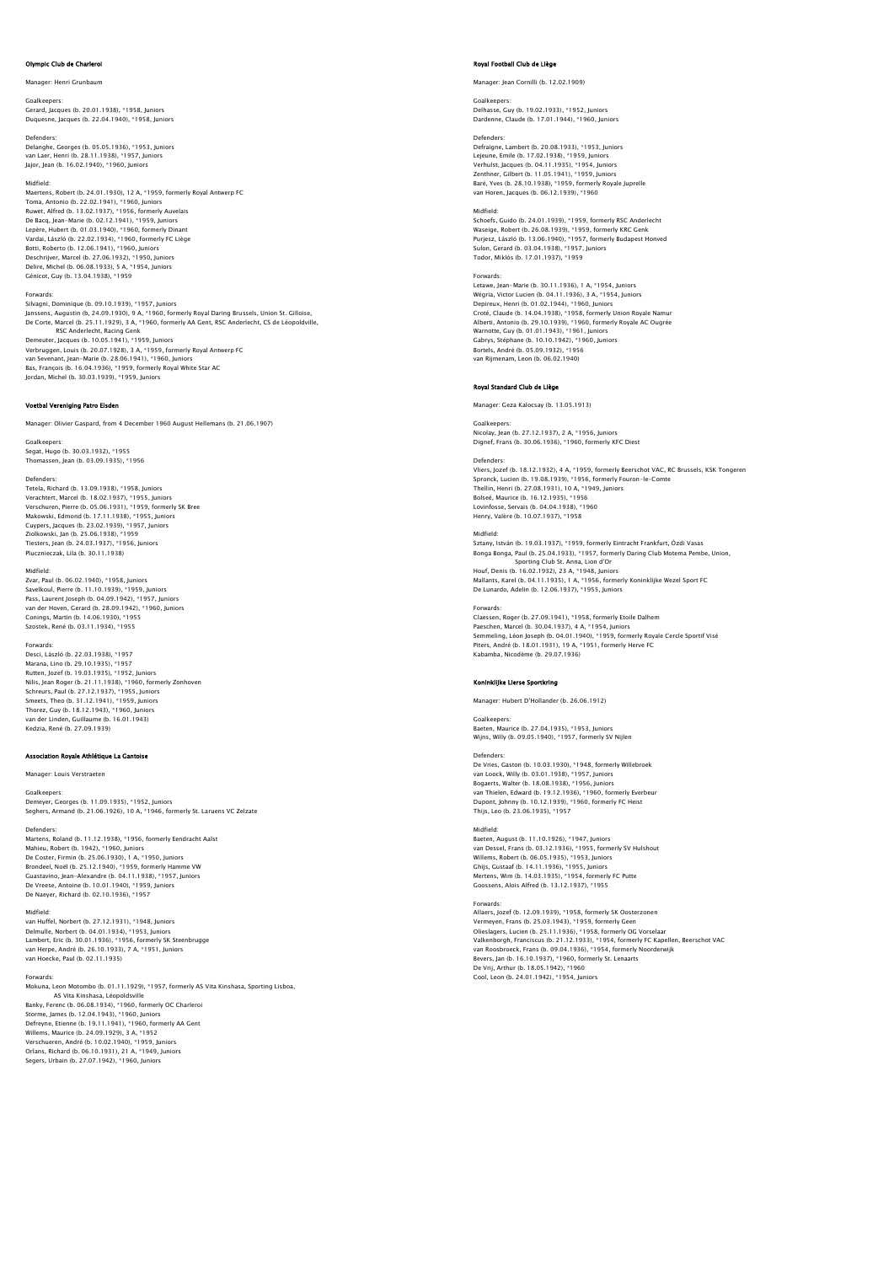## Olympic Club de Charle

Manager: Henri Grunbaum

Goalkeepers: Gerard, Jacques (b. 20.01.1938), \*1958, Juniors Duquesne, Jacques (b. 22.04.1940), \*1958, Juniors

Defenders: Delanghe, Georges (b. 05.05.1936), \*1953, Juniors van Laer, Henri (b. 28.11.1938), \*1957, Juniors Jajor, Jean (b. 16.02.1940), \*1960, Juniors

### Midfield:

Maertens, Robert (b. 24.01.1930), 12 A, \*1959, formerly Royal Antwerp FC<br>Toma, Antonio (b. 22.02.1941), \*1960, Juniors<br>Ruwet, Alfred (b. 13.02.1937), \*1956, formerly Auvelais<br>De Bacq, Jean-Marie (b. 02.12.1941), \*1959, Jun Lepère, Hubert (b. 01.03.1940), \*1960, formerly Dinant<br>Vardai, László (b. 22.02.1934), \*1960, formerly FC Liège<br>Botti, Roberto (b. 12.06.1941), \*1960, Juniors<br>Deschrijver, Marcel (b. 27.06.1932), \*1950, Juniors<br>Delire, Mic

Forwards:<br>Silvagni, Dominique (b. 09.10.1939), \*1957, Juniors<br>Janssens, Augustin (b, 24.09.1930), 9 A, \*1960, formerly Royal Daring Brussels, Union St. Gilloise,<br>De Corte, Marcel (b. 25.11.1929), 3 A, \*1960, formerly AA Ge RSC Anderlecht, Racing Cenk<br>Demeuter, Jacques (b. 10.05.1941), \*1959, Juniors<br>Verbruggen, Louis (b. 20.07.1928), 3 A, \*1959, formerly Royal Antwerp FC<br>van Sevenant, Jean-Marie (b. 28.06.1941), \*1960, Juniors<br>Bas, François Jordan, Michel (b. 30.03.1939), \*1959, Juniors

# Voetbal Vereniging Patro Eisden

Manager: Olivier Gaspard, from 4 December 1960 August Hellemans (b. 21.06.1907)

Goalkeepers: Segat, Hugo (b. 30.03.1932), \*1955 Thomassen, Jean (b. 03.09.1935), \*1956

Defenders:<br>Tetela, Richard (b. 13.09.1938), \*1958, Juniors<br>Verachtert, Marcel (b. 18.02.1937), \*1955, Juniors<br>Verschuren, Pierre (b. 05.06.1931), \*1959, formerly SK Bree Makowski, Edmond (b. 17.11.1938), \*1955, Juniors Cuypers, Jacques (b. 23.02.1939), \*1957, Juniors Ziolkowski, Jan (b. 25.06.1938), \*1959 Tiesters, Jean (b. 24.03.1937), \*1956, Juniors Plucznieczak, Lila (b. 30.11.1938)

Midfield:

Zvar, Paul (b. 06.02.1940), \*1958, Juniors Savelkoul, Pierre (b. 11.10.1939), \*1959, Juniors Pass, Laurent Joseph (b. 04.09.1942), \*1957, Juniors van der Hoven, Gerard (b. 28.09.1942), \*1960, Juniors Conings, Martin (b. 14.06.1930), \*1955 Szostek, René (b. 03.11.1934), \*1955

Forwards: Desci, László (b. 22.03.1938), \*1957 Marana, Lino (b. 29.10.1935), \*1957<br>Rutten, Jozef (b. 19.03.1935), \*1952, Juniors<br>Nilis, Jean Roger (b. 21.11.1938), \*1960, formerly Zonhoven<br>Scheeus, Paue (b. 37.12.1947), \*1959, Juniors<br>Smeets, Theo (b. 31.12.1941), \*195 Thorez, Guy (b. 18.12.1943), \*1960, Juniors van der Linden, Guillaume (b. 16.01.1943) Kedzia, René (b. 27.09.1939)

# Association Royale Athlétique La Gan

Manager: Louis Verstraeten

Goalkeepers: Demeyer, Georges (b. 11.09.1935), \*1952, Juniors Seghers, Armand (b. 21.06.1926), 10 A, \*1946, formerly St. Laruens VC Zelzate

Defenders: Martens, Roland (b. 11.12.1938), \*1956, formerly Eendracht Aalst Mahieu, Robert (b. 1942), \*1960, Juniors De Coster, Firmin (b. 25.06.1930), 1 A, \*1950, Juniors<br>Brondeel, Noël (b. 25.12.1940), \*1959, formerly Hamme VW<br>Guastavino, Jean-Alexandre (b. 04.11.1938), \*1957, Juniors<br>De Neese, Antoine (b. 10.01.1940), \*1959, Juniors<br>D

Midfield:

van Huffel, Norbert (b. 27.12.1931), \*1948, Juniors Delmulle, Norbert (b. 04.01.1934), \*1953, Juniors Lambert, Eric (b. 30.01.1936), \*1956, formerly SK Steenbrugge van Herpe, André (b. 26.10.1933), 7 A, \*1951, Juniors van Hoecke, Paul (b. 02.11.1935)

## Forwards:

Mokuna, Leon Motombo (b. 01.11.1929), \*1957, formerly AS Vita Kinshasa, Sporting Lisboa, AS Vita Kinshasa, Léopoldsville Banky, Ferenc (b. 06.08.1934), \*1960, formerly OC Charleroi Storme, James (b. 12.04.1943), \*1960, Juniors Defreyne, Etienne (b. 19.11.1941), \*1960, formerly AA Gent Willems, Maurice (b. 24.09.1929), 3 A, \*1952 Verschueren, André (b. 10.02.1940), \*1959, Juniors Orlans, Richard (b. 06.10.1931), 21 A, \*1949, Juniors Segers, Urbain (b. 27.07.1942), \*1960, Juniors

# .<br>Rojal Club de Liège

Manager: Jean Cornilli (b. 12.02.1909)

Goalkeepers: Delhasse, Guy (b. 19.02.1933), \*1952, Juniors Dardenne, Claude (b. 17.01.1944), \*1960, Juniors

## Defenders:

Defraigne, Lambert (b. 20.08.1933), \*1953, Juniors Lejeune, Emile (b. 17.02.1938), \*1959, Juniors Verhulst, Jacques (b. 04.11.1935), \*1954, Juniors Zenthner, Gilbert (b. 11.05.1941), \*1959, Juniors Baré, Yves (b. 28.10.1938), \*1959, formerly Royale Juprelle van Horen, Jacques (b. 06.12.1939), \*1960

Midfield: Schoefs, Guido (b. 24.01.1939), \*1959, formerly RSC Anderlecht Waseige, Robert (b. 26.08.1939), \*1959, formerly KRC Genk Purjesz, László (b. 13.06.1940), \*1957, formerly Budapest Honved Sulon, Gerard (b. 03.04.1938), \*1957, Juniors Todor, Miklós (b. 17.01.1937), \*1959

Forwards:<br>Letawe Jean-Marie (h. 30.11.1936) 1.4. \*1954 Juniors Letawe, Jean-Marie (b. 30.11.1936), 1 A, \*1954, Juniors<br>Wégria, Victor Lucien (b. 04.11.1936), 3 A, \*1954, Juniors<br>Depireux, Henri (b. 01.02.1944), \*1960, Juniors<br>Croté, Claude (b. 14.04.1938), \*1958, formerly Union Royale Gabrys, Stéphane (b. 10.10.1942), \*1960, Juniors Bortels, André (b. 05.09.1932), \*1956 van Rijmenam, Leon (b. 06.02.1940)

# Royal Standard Club de Liège

Manager: Geza Kalocsay (b. 13.05.1913)

## Goalkeepers:

Nicolay, Jean (b. 27.12.1937), 2 A, \*1956, Juniors Dignef, Frans (b. 30.06.1936), \*1960, formerly KFC Diest

Defenders:

Vliers, Jozef (b. 18.12.1932), 4 A, \*1959, formerly Beerschot VAC, RC Brussels, KSK Tongeren Spronck, Lucien (b. 19.08.1939), \*1956, formerly Fouron-le-Comte<br>Thellin, Henri (b. 27.08.1931), 10 A, \*1949, Juniors<br>Bolseé, Maurice (b. 16.12.1935), \*1956<br>Lovinfosse, Servais (b. 04.04.1938), \*1960 Henry, Valère (b. 10.07.1937), \*1958

Midfield:<br>Sztany, István (b. 19.03.1937), \*1959, formerly Eintracht Frankfurt, Ózdi Vasas<br>Bonqa Bonqa, Paul (b. 25.04.1933), \*1957, formerly Daring Club Motema Pembe, Union, Sporting Club St. Anna, Lion d'Or Houf, Denis (b. 16.02.1932), 23 A, \*1948, Juniors

Mallants, Karel (b. 04.11.1935), 1 A, \*1956, formerly Koninklijke Wezel Sport FC De Lunardo, Adelin (b. 12.06.1937), \*1955, Juniors

Forwards: Claessen, Roger (b. 27.09.1941), \*1958, formerly Etoile Dalhem<br>Paeschen, Marcel (b. 30.04.1937), 4 A, \*1954, Juniors<br>Semmeling, Léon Joseph (b. 04.01.1940), \*1959, formerly Royale Cercle Sportif Visé<br>Piters, André (b. 18.0

# Koninklijke Lierse Sportkr

Manager: Hubert D'Hollander (b. 26.06.1912)

# Goalkeep

Baeten, Maurice (b. 27.04.1935), \*1953, Juniors Wijns, Willy (b. 09.05.1940), \*1957, formerly SV Nijlen **Defenders** 

De Vries, Gaston (b. 10.03.1930), \*1948, formerly Willebroek<br>van Loock, Willy (b. 03.01.1938), \*1957, Juniors<br>Bogaerts, Walter (b. 18.08.1938), \*1956, Juniors<br>van Thielen, Edward (b. 19.12.1936), \*1960, formerly Everbeur Dupont, Johnny (b. 10.12.1939), \*1960, formerly FC Heist Thijs, Leo (b. 23.06.1935), \*1957

# Midfield:

Baeten, August (b. 11.10.1926), \*1947, Juniors van Dessel, Frans (b. 03.12.1936), \*1955, formerly SV Hulshout Willems, Robert (b. 06.05.1935), \*1953, Juniors<br>Ghijs, Gustaaf (b. 14.11.1936), \*1955, Juniors<br>Mertens, Wim (b. 14.03.1935), \*1954, formerly FC Putte<br>Goossens, Alois Alfred (b. 13.12.1937), \*1955

### Forwards:

Allaers, Jozef (b. 12.09.1939), \*1958, formerly SK Oosterzonen Vermeyen, Frans (b. 25.03.1943), \*1959, formerly Geen Olieslagers, Lucien (b. 25.11.1936), \*1958, formerly OG Vorselaar Valkenborgh, Franciscus (b. 21.12.1933), \*1954, formerly FC Kapellen, Beerschot VAC van Roosbroeck, Frans (b. 09.04.1936), \*1954, formerly Noorderwijk Bevers, Jan (b. 16.10.1937), \*1960, formerly St. Lenaarts De Vrij, Arthur (b. 18.05.1942), \*1960 Cool, Leon (b. 24.01.1942), \*1954, Juni